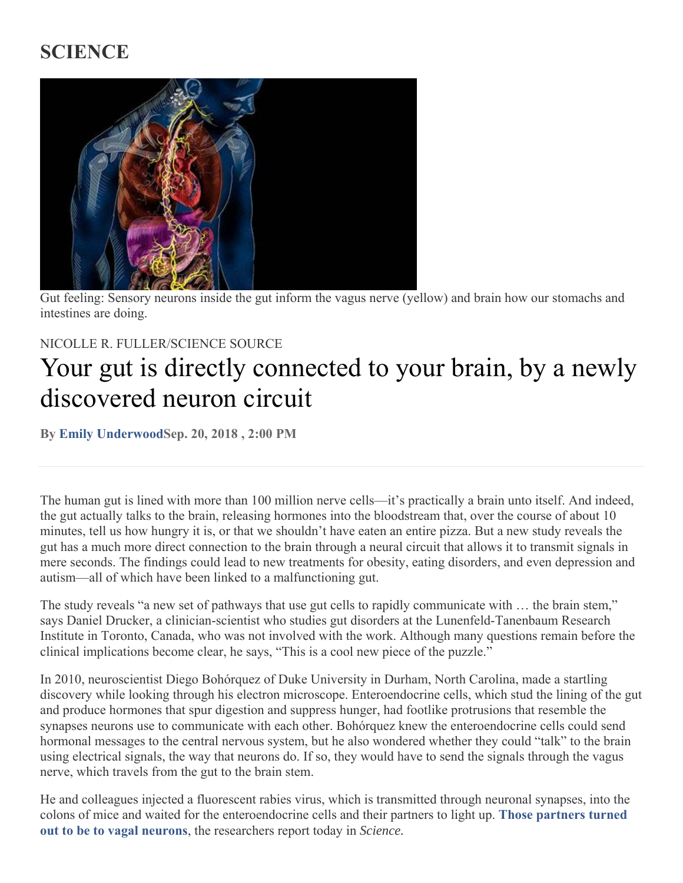## **SCIENCE**



Gut feeling: Sensory neurons inside the gut inform the vagus nerve (yellow) and brain how our stomachs and intestines are doing.

## NICOLLE R. FULLER/SCIENCE SOURCE

## Your gut is directly connected to your brain, by a newly discovered neuron circuit

**By Emily UnderwoodSep. 20, 2018 , 2:00 PM** 

The human gut is lined with more than 100 million nerve cells—it's practically a brain unto itself. And indeed, the gut actually talks to the brain, releasing hormones into the bloodstream that, over the course of about 10 minutes, tell us how hungry it is, or that we shouldn't have eaten an entire pizza. But a new study reveals the gut has a much more direct connection to the brain through a neural circuit that allows it to transmit signals in mere seconds. The findings could lead to new treatments for obesity, eating disorders, and even depression and autism—all of which have been linked to a malfunctioning gut.

The study reveals "a new set of pathways that use gut cells to rapidly communicate with … the brain stem," says Daniel Drucker, a clinician-scientist who studies gut disorders at the Lunenfeld-Tanenbaum Research Institute in Toronto, Canada, who was not involved with the work. Although many questions remain before the clinical implications become clear, he says, "This is a cool new piece of the puzzle."

In 2010, neuroscientist Diego Bohórquez of Duke University in Durham, North Carolina, made a startling discovery while looking through his electron microscope. Enteroendocrine cells, which stud the lining of the gut and produce hormones that spur digestion and suppress hunger, had footlike protrusions that resemble the synapses neurons use to communicate with each other. Bohórquez knew the enteroendocrine cells could send hormonal messages to the central nervous system, but he also wondered whether they could "talk" to the brain using electrical signals, the way that neurons do. If so, they would have to send the signals through the vagus nerve, which travels from the gut to the brain stem.

He and colleagues injected a fluorescent rabies virus, which is transmitted through neuronal synapses, into the colons of mice and waited for the enteroendocrine cells and their partners to light up. **Those partners turned out to be to vagal neurons**, the researchers report today in *Science.*